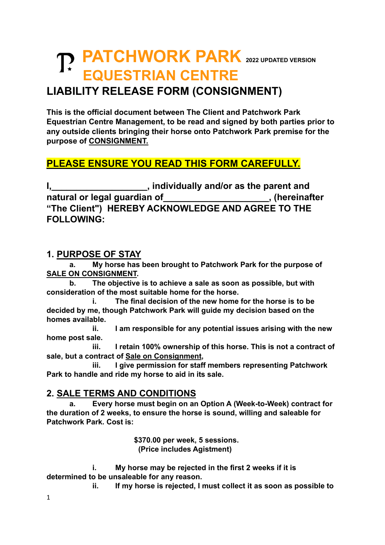# **PATCHWORK PARK <sup>2022</sup> UPDATED VERSION EQUESTRIAN CENTRE**

### **LIABILITY RELEASE FORM (CONSIGNMENT)**

**This is the official document between The Client and Patchwork Park Equestrian Centre Management, to be read and signed by both parties prior to any outside clients bringing their horse onto Patchwork Park premise for the purpose of CONSIGNMENT.**

#### **PLEASE ENSURE YOU READ THIS FORM CAREFULLY.**

**I, Individually and/or as the parent and natural or legal guardian of\_\_\_\_\_\_\_\_\_\_\_\_\_\_\_\_\_\_\_\_\_, (hereinafter "The Client") HEREBY ACKNOWLEDGE AND AGREE TO THE FOLLOWING:**

#### **1. PURPOSE OF STAY**

**a. My horse has been brought to Patchwork Park for the purpose of SALE ON CONSIGNMENT.**

**b. The objective is to achieve a sale as soon as possible, but with consideration of the most suitable home for the horse.**

**i. The final decision of the new home for the horse is to be decided by me, though Patchwork Park will guide my decision based on the homes available.**

**ii. I am responsible for any potential issues arising with the new home post sale.**

**iii. I retain 100% ownership of this horse. This is not a contract of sale, but a contract of Sale on Consignment,**

**iii. I give permission for staff members representing Patchwork Park to handle and ride my horse to aid in its sale.**

#### **2. SALE TERMS AND CONDITIONS**

**a. Every horse must begin on an Option A (Week-to-Week) contract for the duration of 2 weeks, to ensure the horse is sound, willing and saleable for Patchwork Park. Cost is:**

> **\$370.00 per week, 5 sessions. (Price includes Agistment)**

**i. My horse may be rejected in the first 2 weeks if it is determined to be unsaleable for any reason.** 

**ii. If my horse is rejected, I must collect it as soon as possible to**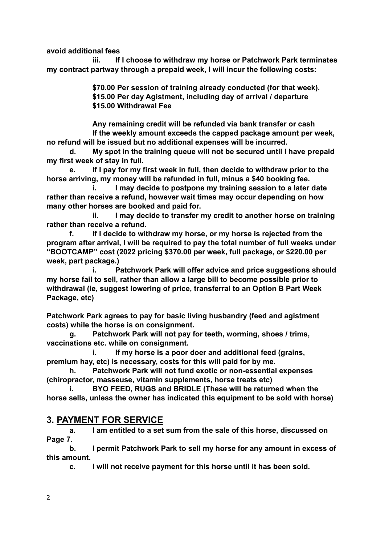**avoid additional fees**

**iii. If I choose to withdraw my horse or Patchwork Park terminates my contract partway through a prepaid week, I will incur the following costs:**

> **\$70.00 Per session of training already conducted (for that week). \$15.00 Per day Agistment, including day of arrival / departure \$15.00 Withdrawal Fee**

**Any remaining credit will be refunded via bank transfer or cash If the weekly amount exceeds the capped package amount per week, no refund will be issued but no additional expenses will be incurred.**

**d. My spot in the training queue will not be secured until I have prepaid my first week of stay in full.**

**e. If I pay for my first week in full, then decide to withdraw prior to the horse arriving, my money will be refunded in full, minus a \$40 booking fee.** 

**i. I may decide to postpone my training session to a later date rather than receive a refund, however wait times may occur depending on how many other horses are booked and paid for.**

**ii. I may decide to transfer my credit to another horse on training rather than receive a refund.**

**f. If I decide to withdraw my horse, or my horse is rejected from the program after arrival, I will be required to pay the total number of full weeks under "BOOTCAMP" cost (2022 pricing \$370.00 per week, full package, or \$220.00 per week, part package.)** 

**i. Patchwork Park will offer advice and price suggestions should my horse fail to sell, rather than allow a large bill to become possible prior to withdrawal (ie, suggest lowering of price, transferral to an Option B Part Week Package, etc)**

**Patchwork Park agrees to pay for basic living husbandry (feed and agistment costs) while the horse is on consignment.**

**g. Patchwork Park will not pay for teeth, worming, shoes / trims, vaccinations etc. while on consignment.**

**i. If my horse is a poor doer and additional feed (grains, premium hay, etc) is necessary, costs for this will paid for by me.**

**h. Patchwork Park will not fund exotic or non-essential expenses (chiropractor, masseuse, vitamin supplements, horse treats etc)**

**i. BYO FEED, RUGS and BRIDLE (These will be returned when the horse sells, unless the owner has indicated this equipment to be sold with horse)**

#### **3. PAYMENT FOR SERVICE**

**a. I am entitled to a set sum from the sale of this horse, discussed on Page 7.**

**b. I permit Patchwork Park to sell my horse for any amount in excess of this amount.**

**c. I will not receive payment for this horse until it has been sold.**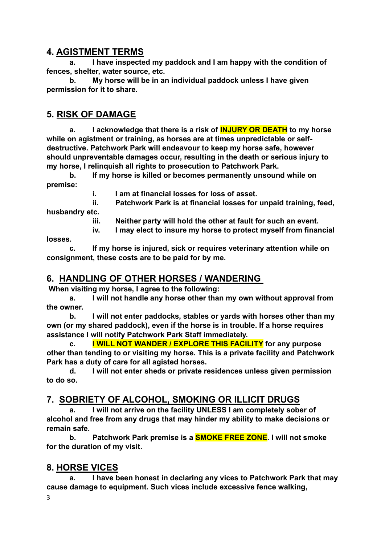#### **4. AGISTMENT TERMS**

**a. I have inspected my paddock and I am happy with the condition of fences, shelter, water source, etc.**

**b. My horse will be in an individual paddock unless I have given permission for it to share.**

#### **5. RISK OF DAMAGE**

**a. I acknowledge that there is a risk of INJURY OR DEATH to my horse while on agistment or training, as horses are at times unpredictable or selfdestructive. Patchwork Park will endeavour to keep my horse safe, however should unpreventable damages occur, resulting in the death or serious injury to my horse, I relinquish all rights to prosecution to Patchwork Park.**

**b. If my horse is killed or becomes permanently unsound while on premise:**

**i. I am at financial losses for loss of asset.**

**ii. Patchwork Park is at financial losses for unpaid training, feed, husbandry etc.**

**iii. Neither party will hold the other at fault for such an event.**

**iv. I may elect to insure my horse to protect myself from financial** 

**losses.**

**c. If my horse is injured, sick or requires veterinary attention while on consignment, these costs are to be paid for by me.**

#### **6. HANDLING OF OTHER HORSES / WANDERING**

**When visiting my horse, I agree to the following:**

**a. I will not handle any horse other than my own without approval from the owner.**

**b. I will not enter paddocks, stables or yards with horses other than my own (or my shared paddock), even if the horse is in trouble. If a horse requires assistance I will notify Patchwork Park Staff immediately.** 

**c. I WILL NOT WANDER / EXPLORE THIS FACILITY for any purpose other than tending to or visiting my horse. This is a private facility and Patchwork Park has a duty of care for all agisted horses.** 

**d. I will not enter sheds or private residences unless given permission to do so.**

#### **7. SOBRIETY OF ALCOHOL, SMOKING OR ILLICIT DRUGS**

**a. I will not arrive on the facility UNLESS I am completely sober of alcohol and free from any drugs that may hinder my ability to make decisions or remain safe.**

**b. Patchwork Park premise is a SMOKE FREE ZONE. I will not smoke for the duration of my visit.**

#### **8. HORSE VICES**

**a. I have been honest in declaring any vices to Patchwork Park that may cause damage to equipment. Such vices include excessive fence walking,** 

3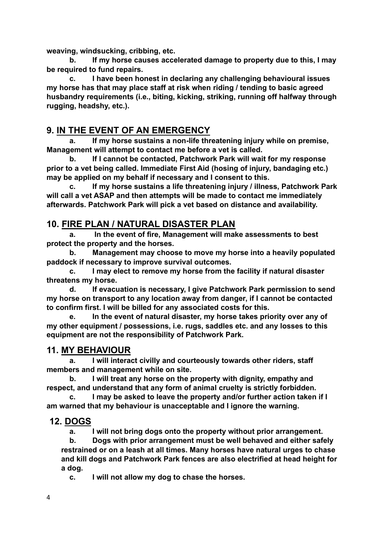**weaving, windsucking, cribbing, etc.** 

**b. If my horse causes accelerated damage to property due to this, I may be required to fund repairs.**

**c. I have been honest in declaring any challenging behavioural issues my horse has that may place staff at risk when riding / tending to basic agreed husbandry requirements (i.e., biting, kicking, striking, running off halfway through rugging, headshy, etc.).**

#### **9. IN THE EVENT OF AN EMERGENCY**

**a. If my horse sustains a non-life threatening injury while on premise, Management will attempt to contact me before a vet is called.** 

**b. If I cannot be contacted, Patchwork Park will wait for my response prior to a vet being called. Immediate First Aid (hosing of injury, bandaging etc.) may be applied on my behalf if necessary and I consent to this.**

**c. If my horse sustains a life threatening injury / illness, Patchwork Park will call a vet ASAP and then attempts will be made to contact me immediately afterwards. Patchwork Park will pick a vet based on distance and availability.**

#### **10. FIRE PLAN / NATURAL DISASTER PLAN**

**a. In the event of fire, Management will make assessments to best protect the property and the horses.**

**b. Management may choose to move my horse into a heavily populated paddock if necessary to improve survival outcomes.**

**c. I may elect to remove my horse from the facility if natural disaster threatens my horse.**

**d. If evacuation is necessary, I give Patchwork Park permission to send my horse on transport to any location away from danger, if I cannot be contacted to confirm first. I will be billed for any associated costs for this.**

**e. In the event of natural disaster, my horse takes priority over any of my other equipment / possessions, i.e. rugs, saddles etc. and any losses to this equipment are not the responsibility of Patchwork Park.**

#### **11. MY BEHAVIOUR**

**a. I will interact civilly and courteously towards other riders, staff members and management while on site.** 

**b. I will treat any horse on the property with dignity, empathy and respect, and understand that any form of animal cruelty is strictly forbidden.** 

**c. I may be asked to leave the property and/or further action taken if I am warned that my behaviour is unacceptable and I ignore the warning.**

#### **12. DOGS**

**a. I will not bring dogs onto the property without prior arrangement.**

**b. Dogs with prior arrangement must be well behaved and either safely restrained or on a leash at all times. Many horses have natural urges to chase and kill dogs and Patchwork Park fences are also electrified at head height for a dog.** 

**c. I will not allow my dog to chase the horses.**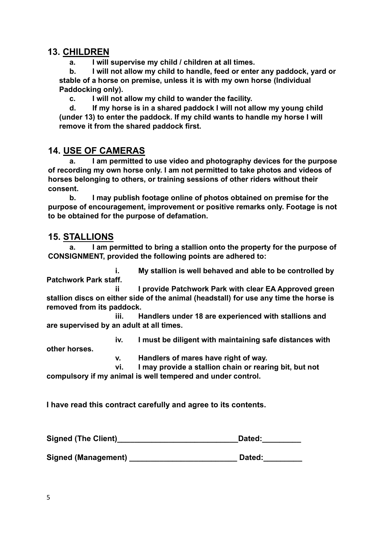#### **13. CHILDREN**

**a. I will supervise my child / children at all times.**

**b. I will not allow my child to handle, feed or enter any paddock, yard or stable of a horse on premise, unless it is with my own horse (Individual Paddocking only).**

**c. I will not allow my child to wander the facility.**

**d. If my horse is in a shared paddock I will not allow my young child (under 13) to enter the paddock. If my child wants to handle my horse I will remove it from the shared paddock first.**

#### **14. USE OF CAMERAS**

**a. I am permitted to use video and photography devices for the purpose of recording my own horse only. I am not permitted to take photos and videos of horses belonging to others, or training sessions of other riders without their consent.**

**b. I may publish footage online of photos obtained on premise for the purpose of encouragement, improvement or positive remarks only. Footage is not to be obtained for the purpose of defamation.**

#### **15. STALLIONS**

**a. I am permitted to bring a stallion onto the property for the purpose of CONSIGNMENT, provided the following points are adhered to:**

**i. My stallion is well behaved and able to be controlled by Patchwork Park staff.**

**ii I provide Patchwork Park with clear EA Approved green stallion discs on either side of the animal (headstall) for use any time the horse is removed from its paddock.**

**iii. Handlers under 18 are experienced with stallions and are supervised by an adult at all times.**

**iv. I must be diligent with maintaining safe distances with** 

**other horses.**

**v. Handlers of mares have right of way.**

**vi. I may provide a stallion chain or rearing bit, but not compulsory if my animal is well tempered and under control.**

**I have read this contract carefully and agree to its contents.**

| <b>Signed (The Client)</b> | Dated: |
|----------------------------|--------|
|                            |        |

Signed (Management) **Example 2 Signed (Management)** and Dated: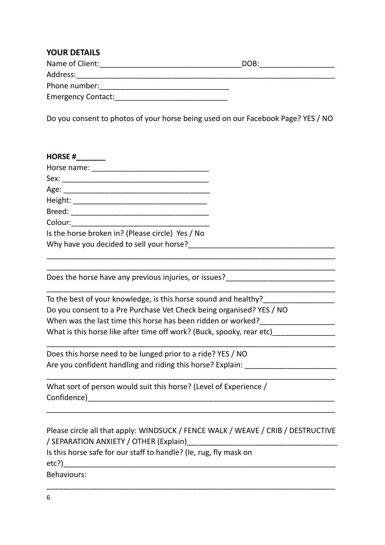#### **YOUR DETAILS** Name of Client:\_\_\_\_\_\_\_\_\_\_\_\_\_\_\_\_\_\_\_\_\_\_\_\_\_\_\_\_\_\_\_\_\_\_DOB:\_\_\_\_\_\_\_\_\_\_\_\_\_\_\_\_\_\_ Address:\_\_\_\_\_\_\_\_\_\_\_\_\_\_\_\_\_\_\_\_\_\_\_\_\_\_\_\_\_\_\_\_\_\_\_\_\_\_\_\_\_\_\_\_\_\_\_\_\_\_\_\_\_\_\_\_\_\_\_\_\_\_ Phone number:\_\_\_\_\_\_\_\_\_\_\_\_\_\_\_\_\_\_\_\_\_\_\_\_\_\_\_\_\_\_\_ Emergency Contact:\_\_\_\_\_\_\_\_\_\_\_\_\_\_\_\_\_\_\_\_\_\_\_\_\_\_\_

Do you consent to photos of your horse being used on our Facebook Page? YES / NO

| <b>HORSE#</b>                                    |  |
|--------------------------------------------------|--|
| Horse name:                                      |  |
| Sex:                                             |  |
| Age: $\overline{\phantom{a}}$                    |  |
| Height:                                          |  |
|                                                  |  |
| Colour:                                          |  |
| Is the horse broken in? (Please circle) Yes / No |  |
| Why have you decided to sell your horse?         |  |
|                                                  |  |

Does the horse have any previous injuries, or issues?\_\_\_\_\_\_\_\_\_\_\_\_\_\_\_\_\_\_\_\_\_\_\_\_\_\_

| To the best of your knowledge, is this horse sound and healthy?       |  |
|-----------------------------------------------------------------------|--|
| Do you consent to a Pre Purchase Vet Check being organised? YES / NO  |  |
| When was the last time this horse has been ridden or worked?          |  |
| What is this horse like after time off work? (Buck, spooky, rear etc) |  |

\_\_\_\_\_\_\_\_\_\_\_\_\_\_\_\_\_\_\_\_\_\_\_\_\_\_\_\_\_\_\_\_\_\_\_\_\_\_\_\_\_\_\_\_\_\_\_\_\_\_\_\_\_\_\_\_\_\_\_\_\_\_\_\_\_\_\_\_\_

\_\_\_\_\_\_\_\_\_\_\_\_\_\_\_\_\_\_\_\_\_\_\_\_\_\_\_\_\_\_\_\_\_\_\_\_\_\_\_\_\_\_\_\_\_\_\_\_\_\_\_\_\_\_\_\_\_\_\_\_\_\_\_\_\_\_\_\_\_

\_\_\_\_\_\_\_\_\_\_\_\_\_\_\_\_\_\_\_\_\_\_\_\_\_\_\_\_\_\_\_\_\_\_\_\_\_\_\_\_\_\_\_\_\_\_\_\_\_\_\_\_\_\_\_\_\_\_\_\_\_\_\_\_\_\_\_\_\_

\_\_\_\_\_\_\_\_\_\_\_\_\_\_\_\_\_\_\_\_\_\_\_\_\_\_\_\_\_\_\_\_\_\_\_\_\_\_\_\_\_\_\_\_\_\_\_\_\_\_\_\_\_\_\_\_\_\_\_\_\_\_\_\_\_\_\_\_\_

\_\_\_\_\_\_\_\_\_\_\_\_\_\_\_\_\_\_\_\_\_\_\_\_\_\_\_\_\_\_\_\_\_\_\_\_\_\_\_\_\_\_\_\_\_\_\_\_\_\_\_\_\_\_\_\_\_\_\_\_\_\_\_\_\_\_\_\_\_

Does this horse need to be lunged prior to a ride? YES / NO Are you confident handling and riding this horse? Explain: \_\_\_\_\_\_\_\_\_\_\_\_\_\_\_\_\_\_\_\_\_

What sort of person would suit this horse? (Level of Experience / Confidence)\_\_\_\_\_\_\_\_\_\_\_\_\_\_\_\_\_\_\_\_\_\_\_\_\_\_\_\_\_\_\_\_\_\_\_\_\_\_\_\_\_\_\_\_\_\_\_\_\_\_\_\_\_\_\_\_\_\_\_

\_\_\_\_\_\_\_\_\_\_\_\_\_\_\_\_\_\_\_\_\_\_\_\_\_\_\_\_\_\_\_\_\_\_\_\_\_\_\_\_\_\_\_\_\_\_\_\_\_\_\_\_\_\_\_\_\_\_\_\_\_\_\_\_\_\_\_\_\_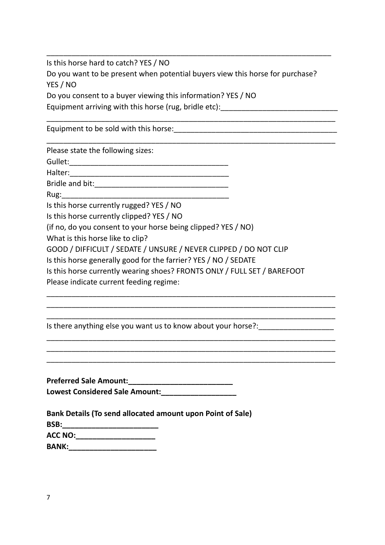Is this horse hard to catch? YES / NO Do you want to be present when potential buyers view this horse for purchase? YES / NO Do you consent to a buyer viewing this information? YES / NO Equipment arriving with this horse (rug, bridle etc): \_\_\_\_\_\_\_\_\_\_\_\_\_\_\_\_\_\_\_\_\_\_\_\_\_\_

\_\_\_\_\_\_\_\_\_\_\_\_\_\_\_\_\_\_\_\_\_\_\_\_\_\_\_\_\_\_\_\_\_\_\_\_\_\_\_\_\_\_\_\_\_\_\_\_\_\_\_\_\_\_\_\_\_\_\_\_\_\_\_\_\_\_\_\_\_

\_\_\_\_\_\_\_\_\_\_\_\_\_\_\_\_\_\_\_\_\_\_\_\_\_\_\_\_\_\_\_\_\_\_\_\_\_\_\_\_\_\_\_\_\_\_\_\_\_\_\_\_\_\_\_\_\_\_\_\_\_\_\_\_\_\_\_\_\_

\_\_\_\_\_\_\_\_\_\_\_\_\_\_\_\_\_\_\_\_\_\_\_\_\_\_\_\_\_\_\_\_\_\_\_\_\_\_\_\_\_\_\_\_\_\_\_\_\_\_\_\_\_\_\_\_\_\_\_\_\_\_\_\_\_\_\_\_

Equipment to be sold with this horse:

Please state the following sizes:

Gullet:\_\_\_\_\_\_\_\_\_\_\_\_\_\_\_\_\_\_\_\_\_\_\_\_\_\_\_\_\_\_\_\_\_\_\_\_\_\_

Halter:

Bridle and bit:\_\_\_\_\_\_\_\_\_\_\_\_\_\_\_\_\_\_\_\_\_\_\_\_\_\_\_\_\_\_\_\_

 $Rug:$ 

Is this horse currently rugged? YES / NO

Is this horse currently clipped? YES / NO

(if no, do you consent to your horse being clipped? YES / NO)

What is this horse like to clip?

GOOD / DIFFICULT / SEDATE / UNSURE / NEVER CLIPPED / DO NOT CLIP

Is this horse generally good for the farrier? YES / NO / SEDATE

Is this horse currently wearing shoes? FRONTS ONLY / FULL SET / BAREFOOT

\_\_\_\_\_\_\_\_\_\_\_\_\_\_\_\_\_\_\_\_\_\_\_\_\_\_\_\_\_\_\_\_\_\_\_\_\_\_\_\_\_\_\_\_\_\_\_\_\_\_\_\_\_\_\_\_\_\_\_\_\_\_\_\_\_\_\_\_\_ \_\_\_\_\_\_\_\_\_\_\_\_\_\_\_\_\_\_\_\_\_\_\_\_\_\_\_\_\_\_\_\_\_\_\_\_\_\_\_\_\_\_\_\_\_\_\_\_\_\_\_\_\_\_\_\_\_\_\_\_\_\_\_\_\_\_\_\_\_ \_\_\_\_\_\_\_\_\_\_\_\_\_\_\_\_\_\_\_\_\_\_\_\_\_\_\_\_\_\_\_\_\_\_\_\_\_\_\_\_\_\_\_\_\_\_\_\_\_\_\_\_\_\_\_\_\_\_\_\_\_\_\_\_\_\_\_\_\_

\_\_\_\_\_\_\_\_\_\_\_\_\_\_\_\_\_\_\_\_\_\_\_\_\_\_\_\_\_\_\_\_\_\_\_\_\_\_\_\_\_\_\_\_\_\_\_\_\_\_\_\_\_\_\_\_\_\_\_\_\_\_\_\_\_\_\_\_\_ \_\_\_\_\_\_\_\_\_\_\_\_\_\_\_\_\_\_\_\_\_\_\_\_\_\_\_\_\_\_\_\_\_\_\_\_\_\_\_\_\_\_\_\_\_\_\_\_\_\_\_\_\_\_\_\_\_\_\_\_\_\_\_\_\_\_\_\_\_ \_\_\_\_\_\_\_\_\_\_\_\_\_\_\_\_\_\_\_\_\_\_\_\_\_\_\_\_\_\_\_\_\_\_\_\_\_\_\_\_\_\_\_\_\_\_\_\_\_\_\_\_\_\_\_\_\_\_\_\_\_\_\_\_\_\_\_\_\_

Please indicate current feeding regime:

Is there anything else you want us to know about your horse?:

**Preferred Sale Amount:\_\_\_\_\_\_\_\_\_\_\_\_\_\_\_\_\_\_\_\_\_\_\_\_\_ Lowest Considered Sale Amount:\_\_\_\_\_\_\_\_\_\_\_\_\_\_\_\_\_\_**

| Bank Details (To send allocated amount upon Point of Sale) |
|------------------------------------------------------------|
| BSB:                                                       |
| <b>ACC NO:</b>                                             |
| <b>BANK:</b>                                               |